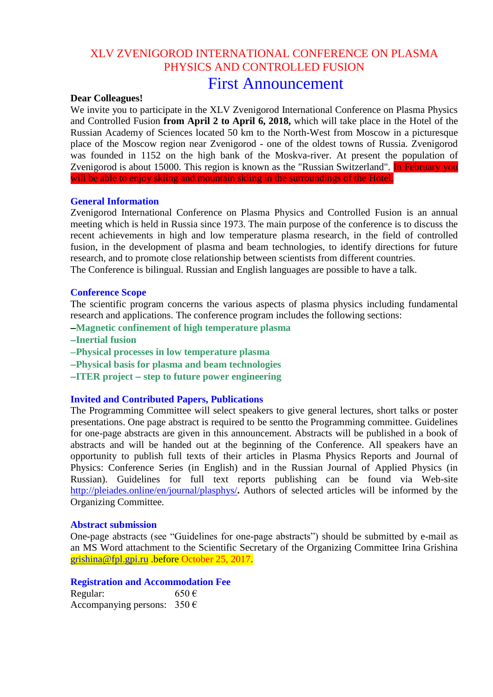## XLV ZVENIGOROD INTERNATIONAL CONFERENCE ON PLASMA PHYSICS AND CONTROLLED FUSION First Announcement

## **Dear Colleagues!**

We invite you to participate in the XLV Zvenigorod International Conference on Plasma Physics and Controlled Fusion **from April 2 to April 6, 2018,** which will take place in the Hotel of the Russian Academy of Sciences located 50 km to the North-West from Moscow in a picturesque place of the Moscow region near Zvenigorod - one of the oldest towns of Russia. Zvenigorod was founded in 1152 on the high bank of the Moskva-river. At present the population of Zvenigorod is about 15000. This region is known as the "Russian Switzerland". In February you will be able to enjoy skiing and mountain skiing in the surroundings of the Hotel.

## **General Information**

Zvenigorod International Conference on Plasma Physics and Controlled Fusion is an annual meeting which is held in Russia since 1973. The main purpose of the conference is to discuss the recent achievements in high and low temperature plasma research, in the field of controlled fusion, in the development of plasma and beam technologies, to identify directions for future research, and to promote close relationship between scientists from different countries. The Conference is bilingual. Russian and English languages are possible to have a talk.

# **Conference Scope**

The scientific program concerns the various aspects of plasma physics including fundamental research and applications. The conference program includes the following sections:

- **Magnetic confinement of high temperature plasma**
- **Inertial fusion**
- **Physical processes in low temperature plasma**
- **Physical basis for plasma and beam technologies**
- **ITER** project step to future power engineering

## **Invited and Contributed Papers, Publications**

The Programming Committee will select speakers to give general lectures, short talks or poster presentations. One page abstract is required to be sentto the Programming committee. Guidelines for one-page abstracts are given in this announcement. Abstracts will be published in a book of abstracts and will be handed out at the beginning of the Conference. All speakers have an opportunity to publish full texts of their articles in Plasma Physics Reports and Journal of Physics: Conference Series (in English) and in the Russian Journal of Applied Physics (in Russian). Guidelines for full text reports publishing can be found via Web-site <http://pleiades.online/en/journal/plasphys/>**.** Authors of selected articles will be informed by the Organizing Committee.

## **Abstract submission**

One-page abstracts (see "Guidelines for one-page abstracts") should be submitted by e-mail as an MS Word attachment to the Scientific Secretary of the Organizing Committee Irina Grishina [grishina@fpl.gpi.ru](mailto:grishina@fpl.gpi.ru) .before October 25, 2017.

## **Registration and Accommodation Fee**

| Regular:                                 | $650 \in$ |
|------------------------------------------|-----------|
| Accompanying persons: $350 \text{ } \in$ |           |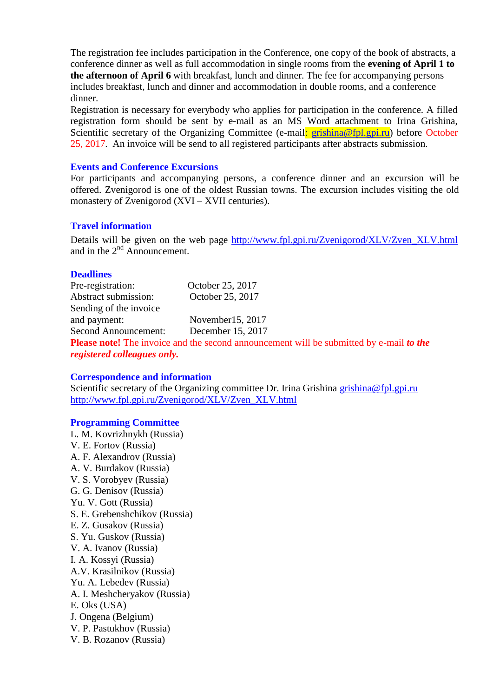The registration fee includes participation in the Conference, one copy of the book of abstracts, a conference dinner as well as full accommodation in single rooms from the **evening of April 1 to the afternoon of April 6** with breakfast, lunch and dinner. The fee for accompanying persons includes breakfast, lunch and dinner and accommodation in double rooms, and a conference dinner.

Registration is necessary for everybody who applies for participation in the conference. A filled registration form should be sent by e-mail as an MS Word attachment to Irina Grishina, Scientific secretary of the Organizing Committee (e-mail: [grishina@fpl.gpi.ru\)](mailto:grishina@fpl.gpi.ru) before October 25, 2017. An invoice will be send to all registered participants after abstracts submission.

## **Events and Conference Excursions**

For participants and accompanying persons, a conference dinner and an excursion will be offered. Zvenigorod is one of the oldest Russian towns. The excursion includes visiting the old monastery of Zvenigorod (XVI – XVII centuries).

## **Travel information**

Details will be given on the web page http://www.fpl.gpi.ru**/**[Zvenigorod/XLV/Zven\\_XLV.html](http://www.fpl.gpi.ru/Zvenigorod/XLV/Zven_XLV.html) and in the  $2<sup>nd</sup>$  Announcement.

## **Deadlines**

| Pre-registration:                  | October 25, 2017                                                                               |
|------------------------------------|------------------------------------------------------------------------------------------------|
| Abstract submission:               | October 25, 2017                                                                               |
| Sending of the invoice             |                                                                                                |
| and payment:                       | November $15, 2017$                                                                            |
| Second Announcement:               | December 15, 2017                                                                              |
|                                    | <b>Please note!</b> The invoice and the second announcement will be submitted by e-mail to the |
| <i>registered colleagues only.</i> |                                                                                                |

## **Correspondence and information**

Scientific secretary of the Organizing committee Dr. Irina Grishina [grishina@fpl.gpi.ru](mailto:grishina@fpl.gpi.ru) http://www.fpl.gpi.ru**/**[Zvenigorod/XLV/Zven\\_XLV.html](http://www.fpl.gpi.ru/Zvenigorod/XLV/Zven_XLV.html)

## **Programming Committee**

L. M. Kovrizhnykh (Russia) V. E. Fortov (Russia) A. F. Alexandrov (Russia) A. V. Burdakov (Russia) V. S. Vorobyev (Russia) G. G. Denisov (Russia) Yu. V. Gott (Russia) S. E. Grebenshchikov (Russia) E. Z. Gusakov (Russia) S. Yu. Guskov (Russia) V. A. Ivanov (Russia) I. A. Kossyi (Russia) A.V. Krasilnikov (Russia) Yu. A. Lebedev (Russia) A. I. Meshcheryakov (Russia) E. Oks (USA) J. Ongena (Belgium) V. P. Pastukhov (Russia) V. B. Rozanov (Russia)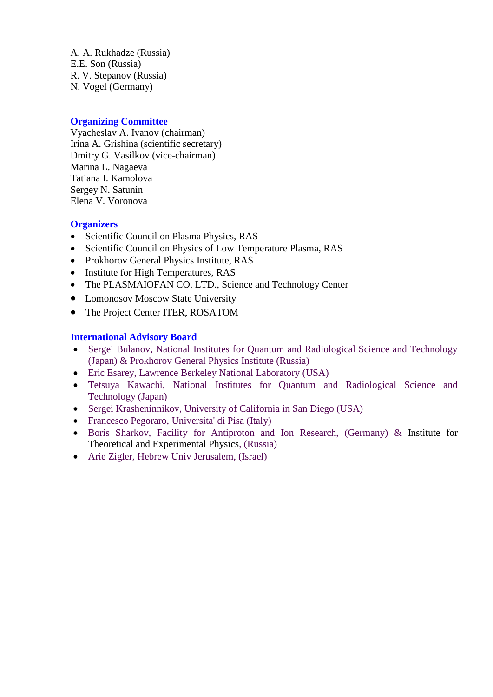A. A. Rukhadze (Russia) E.E. Son (Russia) R. V. Stepanov (Russia) N. Vogel (Germany)

## **Organizing Committee**

Vyacheslav A. Ivanov (chairman) Irina A. Grishina (scientific secretary) Dmitry G. Vasilkov (vice-chairman) Marina L. Nagaeva Tatiana I. Kamolova Sergey N. Satunin Elena V. Voronova

## **Organizers**

- Scientific Council on Plasma Physics, RAS
- Scientific Council on Physics of Low Temperature Plasma, RAS
- Prokhorov General Physics Institute, RAS
- Institute for High Temperatures, RAS
- The PLASMAIOFAN CO. LTD., Science and Technology Center
- Lomonosov Moscow State University
- The Project Center ITER, ROSATOM

## **International Advisory Board**

- Sergei Bulanov, National Institutes for Quantum and Radiological Science and Technology (Japan) & Prokhorov General Physics Institute (Russia)
- Eric Esarey, Lawrence Berkeley National Laboratory (USA)
- Tetsuya Kawachi, National Institutes for Quantum and Radiological Science and Technology (Japan)
- Sergei Krasheninnikov, University of California in San Diego (USA)
- Francesco Pegoraro, Universita' di Pisa (Italy)
- Boris Sharkov, Facility for Antiproton and Ion Research, (Germany) & Institute for Theoretical and Experimental Physics, (Russia)
- Arie Zigler, Hebrew Univ Jerusalem, (Israel)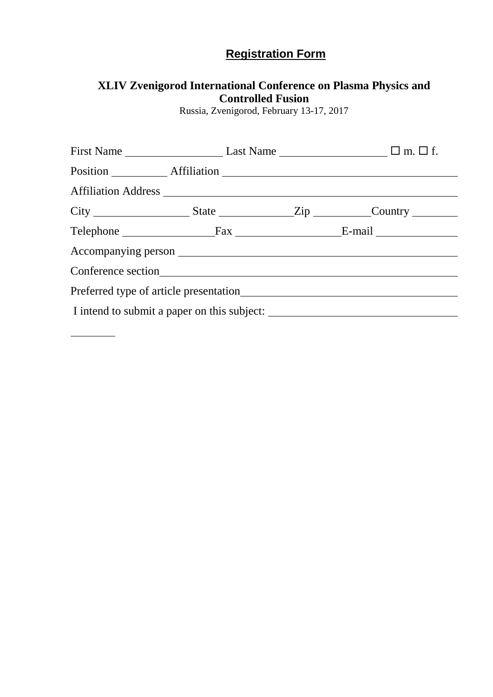# **Registration Form**

## **XLIV Zvenigorod International Conference on Plasma Physics and Controlled Fusion**

Russia, Zvenigorod, February 13-17, 2017

|                                             |  |  |  | First Name $\_\_\_\_\_\_\_\$ Last Name $\_\_\_\_\_\_\_\_\_\_\_\_\_\_\_\_\_\_\_\_\$ m. $\Box$ f. |
|---------------------------------------------|--|--|--|-------------------------------------------------------------------------------------------------|
|                                             |  |  |  |                                                                                                 |
|                                             |  |  |  |                                                                                                 |
|                                             |  |  |  |                                                                                                 |
|                                             |  |  |  |                                                                                                 |
|                                             |  |  |  |                                                                                                 |
|                                             |  |  |  |                                                                                                 |
|                                             |  |  |  |                                                                                                 |
| I intend to submit a paper on this subject: |  |  |  |                                                                                                 |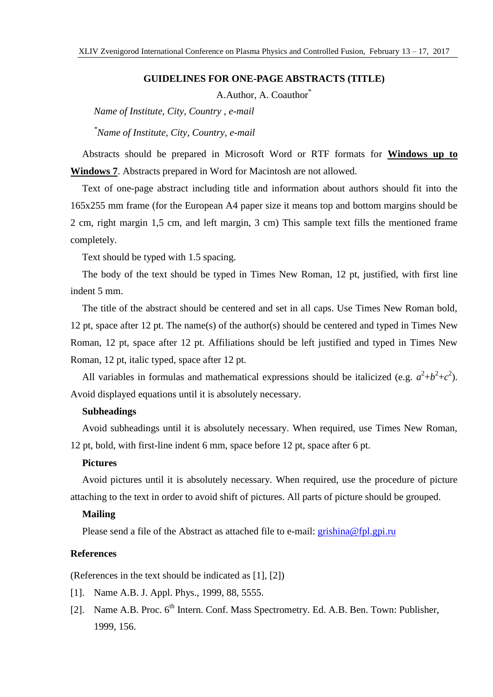## **GUIDELINES FOR ONE-PAGE ABSTRACTS (TITLE)**

A.Author, A. Coauthor<sup>\*</sup>

*Name of Institute, City, Country , e-mail*

*\*Name of Institute, City, Country, e-mail*

Abstracts should be prepared in Microsoft Word or RTF formats for **Windows up to Windows 7**. Abstracts prepared in Word for Macintosh are not allowed.

Text of one-page abstract including title and information about authors should fit into the 165x255 mm frame (for the European A4 paper size it means top and bottom margins should be 2 cm, right margin 1,5 cm, and left margin, 3 cm) This sample text fills the mentioned frame completely.

Text should be typed with 1.5 spacing.

The body of the text should be typed in Times New Roman, 12 pt, justified, with first line indent 5 mm.

The title of the abstract should be centered and set in all caps. Use Times New Roman bold, 12 pt, space after 12 pt. The name(s) of the author(s) should be centered and typed in Times New Roman, 12 pt, space after 12 pt. Affiliations should be left justified and typed in Times New Roman, 12 pt, italic typed, space after 12 pt.

All variables in formulas and mathematical expressions should be italicized (e.g.  $a^2+b^2+c^2$ ). Avoid displayed equations until it is absolutely necessary.

## **Subheadings**

Avoid subheadings until it is absolutely necessary. When required, use Times New Roman, 12 pt, bold, with first-line indent 6 mm, space before 12 pt, space after 6 pt.

## **Pictures**

Avoid pictures until it is absolutely necessary. When required, use the procedure of picture attaching to the text in order to avoid shift of pictures. All parts of picture should be grouped.

### **Mailing**

Please send a file of the Abstract as attached file to e-mail: [grishina@fpl.gpi.ru](mailto:grishina@fpl.gpi.ru)

## **References**

(References in the text should be indicated as [1], [2])

- [1]. Name A.B. J. Appl. Phys., 1999, 88, 5555.
- [2]. Name A.B. Proc. 6<sup>th</sup> Intern. Conf. Mass Spectrometry. Ed. A.B. Ben. Town: Publisher, 1999, 156.